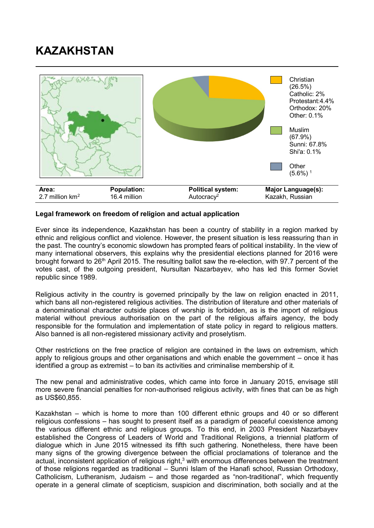## **KAZAKHSTAN**



## **Legal framework on freedom of religion and actual application**

Ever since its independence, Kazakhstan has been a country of stability in a region marked by ethnic and religious conflict and violence. However, the present situation is less reassuring than in the past. The country's economic slowdown has prompted fears of political instability. In the view of many international observers, this explains why the presidential elections planned for 2016 were brought forward to 26<sup>th</sup> April 2015. The resulting ballot saw the re-election, with 97.7 percent of the votes cast, of the outgoing president, Nursultan Nazarbayev, who has led this former Soviet republic since 1989.

Religious activity in the country is governed principally by the law on religion enacted in 2011, which bans all non-registered religious activities. The distribution of literature and other materials of a denominational character outside places of worship is forbidden, as is the import of religious material without previous authorisation on the part of the religious affairs agency, the body responsible for the formulation and implementation of state policy in regard to religious matters. Also banned is all non-registered missionary activity and proselytism.

Other restrictions on the free practice of religion are contained in the laws on extremism, which apply to religious groups and other organisations and which enable the government – once it has identified a group as extremist – to ban its activities and criminalise membership of it.

The new penal and administrative codes, which came into force in January 2015, envisage still more severe financial penalties for non-authorised religious activity, with fines that can be as high as US\$60,855.

Kazakhstan – which is home to more than 100 different ethnic groups and 40 or so different religious confessions – has sought to present itself as a paradigm of peaceful coexistence among the various different ethnic and religious groups. To this end, in 2003 President Nazarbayev established the Congress of Leaders of World and Traditional Religions, a triennial platform of dialogue which in June 2015 witnessed its fifth such gathering. Nonetheless, there have been many signs of the growing divergence between the official proclamations of tolerance and the actual, inconsistent application of religious right,<sup>3</sup> with enormous differences between the treatment of those religions regarded as traditional – Sunni Islam of the Hanafi school, Russian Orthodoxy, Catholicism, Lutheranism, Judaism – and those regarded as "non-traditional", which frequently operate in a general climate of scepticism, suspicion and discrimination, both socially and at the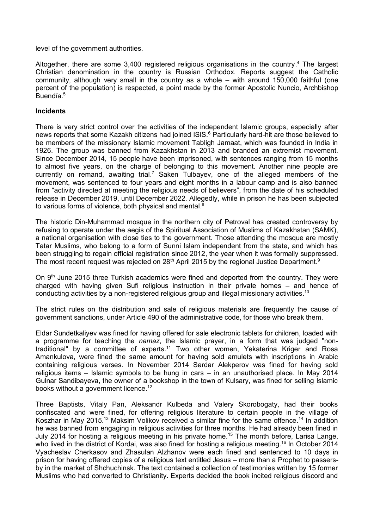level of the government authorities.

Altogether, there are some 3,400 registered religious organisations in the country.<sup>4</sup> The largest Christian denomination in the country is Russian Orthodox. Reports suggest the Catholic community, although very small in the country as a whole – with around 150,000 faithful (one percent of the population) is respected, a point made by the former Apostolic Nuncio, Archbishop Buendía. 5

## **Incidents**

There is very strict control over the activities of the independent Islamic groups, especially after news reports that some Kazakh citizens had joined ISIS. <sup>6</sup> Particularly hard-hit are those believed to be members of the missionary Islamic movement Tabligh Jamaat, which was founded in India in 1926. The group was banned from Kazakhstan in 2013 and branded an extremist movement. Since December 2014, 15 people have been imprisoned, with sentences ranging from 15 months to almost five years, on the charge of belonging to this movement. Another nine people are currently on remand, awaiting trial.<sup>7</sup> Saken Tulbayev, one of the alleged members of the movement, was sentenced to four years and eight months in a labour camp and is also banned from "activity directed at meeting the religious needs of believers", from the date of his scheduled release in December 2019, until December 2022. Allegedly, while in prison he has been subjected to various forms of violence, both physical and mental.<sup>8</sup>

The historic Din-Muhammad mosque in the northern city of Petroval has created controversy by refusing to operate under the aegis of the Spiritual Association of Muslims of Kazakhstan (SAMK), a national organisation with close ties to the government. Those attending the mosque are mostly Tatar Muslims, who belong to a form of Sunni Islam independent from the state, and which has been struggling to regain official registration since 2012, the year when it was formally suppressed. The most recent request was rejected on 28<sup>th</sup> April 2015 by the regional Justice Department.<sup>9</sup>

On  $9<sup>th</sup>$  June 2015 three Turkish academics were fined and deported from the country. They were charged with having given Sufi religious instruction in their private homes – and hence of conducting activities by a non-registered religious group and illegal missionary activities.<sup>10</sup>

The strict rules on the distribution and sale of religious materials are frequently the cause of government sanctions, under Article 490 of the administrative code, for those who break them.

Eldar Sundetkaliyev was fined for having offered for sale electronic tablets for children, loaded with a programme for teaching the *namaz*, the Islamic prayer, in a form that was judged "nontraditional" by a committee of experts.<sup>11</sup> Two other women, Yekaterina Kriger and Rosa Amankulova, were fined the same amount for having sold amulets with inscriptions in Arabic containing religious verses. In November 2014 Sardar Alekperov was fined for having sold religious items – Islamic symbols to be hung in cars – in an unauthorised place. In May 2014 Gulnar Sandibayeva, the owner of a bookshop in the town of Kulsary, was fined for selling Islamic books without a government licence.<sup>12</sup>

Three Baptists, Vitaly Pan, Aleksandr Kulbeda and Valery Skorobogaty, had their books confiscated and were fined, for offering religious literature to certain people in the village of Koszhar in May 2015.<sup>13</sup> Maksim Volikov received a similar fine for the same offence.<sup>14</sup> In addition he was banned from engaging in religious activities for three months. He had already been fined in July 2014 for hosting a religious meeting in his private home.<sup>15</sup> The month before, Larisa Lange, who lived in the district of Kordai, was also fined for hosting a religious meeting.<sup>16</sup> In October 2014 Vyacheslav Cherkasov and Zhasulan Alzhanov were each fined and sentenced to 10 days in prison for having offered copies of a religious text entitled Jesus – more than a Prophet to passersby in the market of Shchuchinsk. The text contained a collection of testimonies written by 15 former Muslims who had converted to Christianity. Experts decided the book incited religious discord and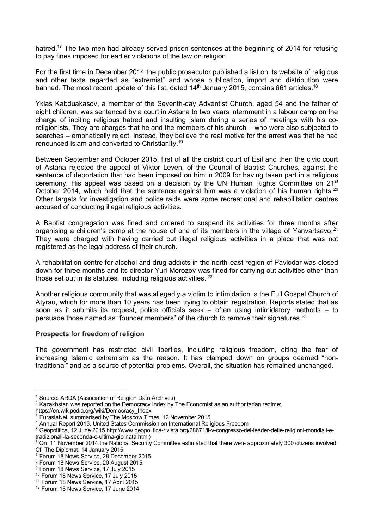hatred.<sup>17</sup> The two men had already served prison sentences at the beginning of 2014 for refusing to pay fines imposed for earlier violations of the law on religion.

For the first time in December 2014 the public prosecutor published a list on its website of religious and other texts regarded as "extremist" and whose publication, import and distribution were banned. The most recent update of this list, dated  $14<sup>th</sup>$  January 2015, contains 661 articles.<sup>18</sup>

Yklas Kabduakasov, a member of the Seventh-day Adventist Church, aged 54 and the father of eight children, was sentenced by a court in Astana to two years internment in a labour camp on the charge of inciting religious hatred and insulting Islam during a series of meetings with his coreligionists. They are charges that he and the members of his church – who were also subjected to searches – emphatically reject. Instead, they believe the real motive for the arrest was that he had renounced Islam and converted to Christianity.<sup>19</sup>

Between September and October 2015, first of all the district court of Esil and then the civic court of Astana rejected the appeal of Viktor Leven, of the Council of Baptist Churches, against the sentence of deportation that had been imposed on him in 2009 for having taken part in a religious ceremony. His appeal was based on a decision by the UN Human Rights Committee on  $21^{st}$ October 2014, which held that the sentence against him was a violation of his human rights.<sup>20</sup> Other targets for investigation and police raids were some recreational and rehabilitation centres accused of conducting illegal religious activities.

A Baptist congregation was fined and ordered to suspend its activities for three months after organising a children's camp at the house of one of its members in the village of Yanvartsevo.<sup>21</sup> They were charged with having carried out illegal religious activities in a place that was not registered as the legal address of their church.

A rehabilitation centre for alcohol and drug addicts in the north-east region of Pavlodar was closed down for three months and its director Yuri Morozov was fined for carrying out activities other than those set out in its statutes, including religious activities.<sup>22</sup>

Another religious community that was allegedly a victim to intimidation is the Full Gospel Church of Atyrau, which for more than 10 years has been trying to obtain registration. Reports stated that as soon as it submits its request, police officials seek – often using intimidatory methods – to persuade those named as "founder members" of the church to remove their signatures. $23$ 

## **Prospects for freedom of religion**

The government has restricted civil liberties, including religious freedom, citing the fear of increasing Islamic extremism as the reason. It has clamped down on groups deemed "nontraditional" and as a source of potential problems. Overall, the situation has remained unchanged.

https://en.wikipedia.org/wiki/Democracy\_Index.

-

<sup>&</sup>lt;sup>1</sup> Source: ARDA (Association of Religion Data Archives)

 $2$  Kazakhstan was reported on the Democracy Index by The Economist as an authoritarian regime:

<sup>3</sup> EurasiaNet, summarised by The Moscow Times, 12 November 2015

<sup>4</sup> Annual Report 2015, United States Commission on International Religious Freedom

<sup>5</sup> Geopolitica, 12 June 2015 http://www.geopolitica-rivista.org/28671/il-v-congresso-dei-leader-delle-religioni-mondiali-etradizionali-la-seconda-e-ultima-giornata.html)

<sup>&</sup>lt;sup>6</sup> On 11 November 2014 the National Security Committee estimated that there were approximately 300 citizens involved. Cf. The Diplomat, 14 January 2015

<sup>7</sup> Forum 18 News Service, 28 December 2015

<sup>8</sup> Forum 18 News Service, 20 August 2015.

<sup>&</sup>lt;sup>9</sup> Forum 18 News Service, 17 July 2015

<sup>10</sup> Forum 18 News Service, 17 July 2015

<sup>&</sup>lt;sup>11</sup> Forum 18 News Service, 17 April 2015

<sup>12</sup> Forum 18 News Service, 17 June 2014